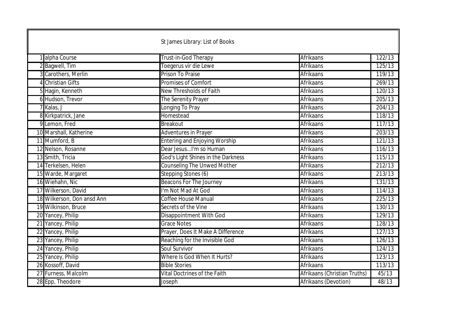|                            | St James Library: List of Books      |                              |        |
|----------------------------|--------------------------------------|------------------------------|--------|
| alpha Course               | Trust-in-God Therapy                 | Afrikaans                    | 122/13 |
| 2 Bagwell, Tim             | Toegerus vir die Lewe                | <b>Afrikaans</b>             | 125/13 |
| 3 Carothers, Merlin        | <b>Prison To Praise</b>              | <b>Afrikaans</b>             | 119/13 |
| 4 Christian Gifts          | <b>Promises of Comfort</b>           | Afrikaans                    | 269/13 |
| 5 Hagin, Kenneth           | New Thresholds of Faith              | <b>Afrikaans</b>             | 120/13 |
| 6 Hudson, Trevor           | The Serenity Prayer                  | Afrikaans                    | 205/13 |
| 7 Kalas, J                 | Longing To Pray                      | Afrikaans                    | 204/13 |
| 8 Kirkpatrick, Jane        | Homestead                            | Afrikaans                    | 118/13 |
| 9 Lemon, Fred              | <b>Breakout</b>                      | Afrikaans                    | 117/13 |
| 10 Marshall, Katherine     | <b>Adventures in Prayer</b>          | Afrikaans                    | 203/13 |
| 11 Mumford, B              | <b>Entering and Enjoying Worship</b> | Afrikaans                    | 121/13 |
| 12 Nelson, Rosanne         | Dear JesusI'm so Human               | <b>Afrikaans</b>             | 116/13 |
| 13 Smith, Tricia           | God's Light Shines in the Darkness   | Afrikaans                    | 115/13 |
| 14 Terkelsen, Helen        | <b>Counseling The Unwed Mother</b>   | <b>Afrikaans</b>             | 212/13 |
| 15 Warde, Margaret         | Stepping Stones (6)                  | <b>Afrikaans</b>             | 213/13 |
| 16 Wiehahn, Nic            | <b>Beacons For The Journey</b>       | <b>Afrikaans</b>             | 131/13 |
| 17 Wilkerson, David        | I'm Not Mad At God                   | Afrikaans                    | 114/13 |
| 18 Wilkerson, Don ansd Ann | <b>Coffee House Manual</b>           | <b>Afrikaans</b>             | 225/13 |
| 19 Wilkinson, Bruce        | Secrets of the Vine                  | <b>Afrikaans</b>             | 130/13 |
| 20 Yancey, Philip          | <b>Disappointment With God</b>       | <b>Afrikaans</b>             | 129/13 |
| 21 Yancey, Philip          | <b>Grace Notes</b>                   | <b>Afrikaans</b>             | 128/13 |
| 22 Yancey, Philip          | Prayer, Does It Make A Difference    | <b>Afrikaans</b>             | 127/13 |
| 23 Yancey, Philip          | Reaching for the Invisible God       | Afrikaans                    | 126/13 |
| 24 Yancey, Philip          | <b>Soul Survivor</b>                 | Afrikaans                    | 124/13 |
| 25 Yancey, Philip          | Where Is God When It Hurts?          | <b>Afrikaans</b>             | 123/13 |
| 26 Kossoff, David          | <b>Bible Stories</b>                 | Afrikaans                    | 113/13 |
| 27 Furness, Malcolm        | Vital Doctrines of the Faith         | Afrikaans (Christian Truths) | 45/13  |
| 28 Epp, Theodore           | Joseph                               | Afrikaans (Devotion)         | 48/13  |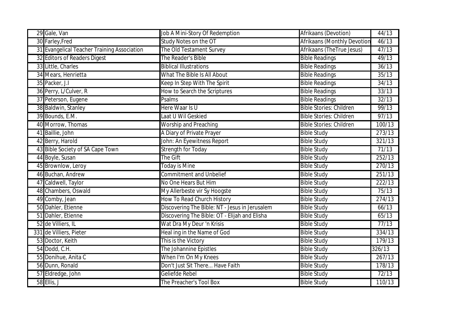| 29 Gale, Van                                | Job A Mini-Story Of Redemption                 | Afrikaans (Devotion)               | 44/13               |
|---------------------------------------------|------------------------------------------------|------------------------------------|---------------------|
| 30 Farley, Fred                             | Study Notes on the OT                          | <b>Afrikaans (Monthly Devotion</b> | 46/13               |
| 31 Evangelical Teacher Training Association | The Old Testament Survey                       | Afrikaans (TheTrue Jesus)          | 47/13               |
| 32 Editors of Readers Digest                | The Reader's Bible                             | <b>Bible Readings</b>              | 49/13               |
| 33 Little, Charles                          | <b>Biblical Illustrations</b>                  | <b>Bible Readings</b>              | 36/13               |
| 34 Mears, Henrietta                         | What The Bible Is All About                    | <b>Bible Readings</b>              | 35/13               |
| 35 Packer, J.I                              | Keep In Step With The Spirit                   | <b>Bible Readings</b>              | 34/13               |
| 36 Perry, L/Culver, R                       | How to Search the Scriptures                   | <b>Bible Readings</b>              | $\overline{33}/13$  |
| 37 Peterson, Eugene                         | Psalms                                         | <b>Bible Readings</b>              | 32/13               |
| 38 Baldwin, Stanley                         | Here Waar Is U                                 | <b>Bible Stories: Children</b>     | 99/13               |
| 39 Bounds, E.M.                             | Laat U Wil Geskied                             | <b>Bible Stories: Children</b>     | 97/13               |
| 40 Morrow, Thomas                           | <b>Worship and Preaching</b>                   | <b>Bible Stories: Children</b>     | 100/13              |
| 41 Baillie, John                            | A Diary of Private Prayer                      | <b>Bible Study</b>                 | 273/13              |
| 42 Berry, Harold                            | John: An Eyewitness Report                     | <b>Bible Study</b>                 | 321/13              |
| 43 Bible Society of SA Cape Town            | <b>Strength for Today</b>                      | <b>Bible Study</b>                 | 71/13               |
| 44 Boyle, Susan                             | The Gift                                       | <b>Bible Study</b>                 | 252/13              |
| 45 Brownlow, Leroy                          | <b>Today is Mine</b>                           | <b>Bible Study</b>                 | $\overline{270/13}$ |
| 46 Buchan, Andrew                           | <b>Commitment and Unbelief</b>                 | <b>Bible Study</b>                 | 251/13              |
| 47 Caldwell, Taylor                         | No One Hears But Him                           | <b>Bible Study</b>                 | 222/13              |
| 48 Chambers, Oswald                         | My Allerbeste vir Sy Hoogste                   | <b>Bible Study</b>                 | 75/13               |
| 49 Comby, Jean                              | How To Read Church History                     | <b>Bible Study</b>                 | 274/13              |
| 50 Dahler, Etienne                          | Discovering The Bible: NT - Jesus in Jerusalem | <b>Bible Study</b>                 | 66/13               |
| 51 Dahler, Etienne                          | Discovering The Bible: OT - Elijah and Elisha  | <b>Bible Study</b>                 | 65/13               |
| 52 de Villiers, IL                          | Wat Dra My Deur 'n Krisis                      | <b>Bible Study</b>                 | 77/13               |
| 331 de Villiers, Pieter                     | Heal ing in the Name of God                    | <b>Bible Study</b>                 | 334/13              |
| 53 Doctor, Keith                            | This is the Victory                            | <b>Bible Study</b>                 | 179/13              |
| 54 Dodd, C.H.                               | The Johannine Epistles                         | <b>Bible Study</b>                 | 326/13              |
| 55 Donihue, Anita C                         | When I'm On My Knees                           | <b>Bible Study</b>                 | 267/13              |
| 56 Dunn, Ronald                             | Don't Just Sit There Have Faith                | <b>Bible Study</b>                 | 178/13              |
| 57 Eldredge, John                           | Geliefde Rebel                                 | <b>Bible Study</b>                 | 72/13               |
| 58 Ellis, J                                 | The Preacher's Tool Box                        | <b>Bible Study</b>                 | 110/13              |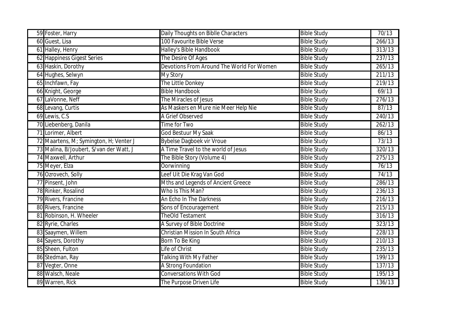| 59 Foster, Harry                        | Daily Thoughts on Biblle Characters       | <b>Bible Study</b> | 70/13  |
|-----------------------------------------|-------------------------------------------|--------------------|--------|
| 60 Guest, Lisa                          | 100 Favourite Bible Verse                 | <b>Bible Study</b> | 266/13 |
| 61 Halley, Henry                        | Halley's Bible Handbook                   | <b>Bible Study</b> | 313/13 |
| 62 Happiness Gigest Series              | The Desire Of Ages                        | <b>Bible Study</b> | 237/13 |
| 63 Haskin, Dorothy                      | Devotions From Around The World For Women | <b>Bible Study</b> | 265/13 |
| 64 Hughes, Selwyn                       | <b>My Story</b>                           | <b>Bible Study</b> | 211/13 |
| 65 Inchfawn, Fay                        | The Little Donkey                         | <b>Bible Study</b> | 219/13 |
| 66 Knight, George                       | <b>Bible Handbook</b>                     | <b>Bible Study</b> | 69/13  |
| 67 LaVonne, Neff                        | The Miracles of Jesus                     | <b>Bible Study</b> | 276/13 |
| 68 Levang, Curtis                       | As Maskers en Mure nie Meer Help Nie      | <b>Bible Study</b> | 87/13  |
| 69 Lewis, C.S.                          | A Grief Observed                          | <b>Bible Study</b> | 240/13 |
| 70 Liebenberg, Danila                   | Time for Two                              | <b>Bible Study</b> | 262/13 |
| 71 Lorimer, Albert                      | <b>God Bestuur My Saak</b>                | <b>Bible Study</b> | 86/13  |
| 72 Maartens, M; Symington, H; Venter J  | <b>Bybelse Dagboek vir Vroue</b>          | <b>Bible Study</b> | 73/13  |
| 73 Malina, B/Joubert, S/van der Watt, J | A Time Travel to the world of Jesus       | <b>Bible Study</b> | 320/13 |
| 74 Maxwell, Arthur                      | The Bible Story (Volume 4)                | <b>Bible Study</b> | 275/13 |
| 75 Meyer, Elza                          | Oorwinning                                | <b>Bible Study</b> | 76/13  |
| 76 Ozrovech, Solly                      | Leef Uit Die Krag Van God                 | <b>Bible Study</b> | 74/13  |
| 77 Pinsent, John                        | Mths and Legends of Ancient Greece        | <b>Bible Study</b> | 286/13 |
| 78 Rinker, Rosalind                     | Who Is This Man?                          | <b>Bible Study</b> | 236/13 |
| 79 Rivers, Francine                     | An Echo In The Darkness                   | <b>Bible Study</b> | 216/13 |
| 80 Rivers, Francine                     | Sons of Encouragement                     | <b>Bible Study</b> | 215/13 |
| 81 Robinson, H. Wheeler                 | TheOld Testament                          | <b>Bible Study</b> | 316/13 |
| 82 Ryrie, Charles                       | A Survey of Bible Doctrine                | <b>Bible Study</b> | 323/13 |
| 83 Saaymen, Willem                      | Christian Mission In South Africa         | <b>Bible Study</b> | 228/13 |
| 84 Sayers, Dorothy                      | Born To Be King                           | <b>Bible Study</b> | 210/13 |
| 85 Sheen, Fulton                        | Life of Christ                            | <b>Bible Study</b> | 235/13 |
| 86 Stedman, Ray                         | <b>Talking With My Father</b>             | <b>Bible Study</b> | 199/13 |
| 87 Vegter, Onne                         | A Strong Foundation                       | <b>Bible Study</b> | 137/13 |
| 88 Walsch, Neale                        | <b>Conversations With God</b>             | <b>Bible Study</b> | 195/13 |
| 89 Warren, Rick                         | The Purpose Driven Life                   | <b>Bible Study</b> | 136/13 |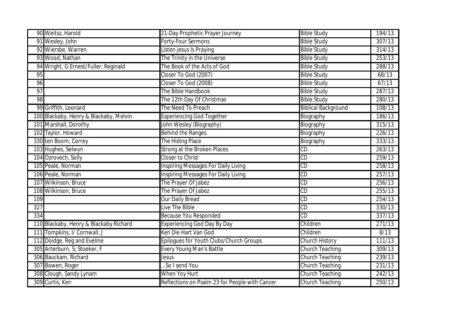| 90 Weitsz, Harold                      | 21-Day Prophetic Prayer Journey                | <b>Bible Study</b>         | 194/13 |
|----------------------------------------|------------------------------------------------|----------------------------|--------|
| 91 Wesley, John                        | <b>Forty-Four Sermons</b>                      | <b>Bible Study</b>         | 307/13 |
| 92 Wiersbe, Warren                     | Listen jesus Is Praying                        | <b>Bible Study</b>         | 314/13 |
| 93 Wood, Nathan                        | The Trinity in the Universe                    | <b>Bible Study</b>         | 253/13 |
| 94 Wright, G Ernest/Fuller, Reginald   | The Book of the Acts of God                    | <b>Bible Study</b>         | 288/13 |
| 95                                     | Closer To God (2007)                           | <b>Bible Study</b>         | 68/13  |
| 96                                     | Closer To God (2008)                           | <b>Bible Study</b>         | 67/13  |
| 97                                     | The Bible Handbook                             | <b>Bible Study</b>         | 287/13 |
| 98                                     | The 12th Day Of Christmas                      | <b>Bible Study</b>         | 280/13 |
| 99 Griffith, Leonard                   | The Need To Preach                             | <b>Biblical Background</b> | 108/13 |
| 100 Blackaby, Henry & Blackaby, Melvin | <b>Experiencing God Together</b>               | Biography                  | 186/13 |
| 101 Marshall, Dorothy                  | John Wesley (Biography)                        | Biography                  | 315/13 |
| 102 Taylor, Howard                     | <b>Behind the Ranges</b>                       | Biography                  | 226/13 |
| 330 ten Boom, Correy                   | The Hiding Place                               | Biography                  | 333/13 |
| 103 Hughes, Selwyn                     | Strong at the Broken Places                    | CD                         | 263/13 |
| 104 Ozrovech, Solly                    | <b>Closer to Christ</b>                        | CD                         | 259/13 |
| 105 Peale, Norman                      | <b>Inspiring Messages For Daily Living</b>     | CD                         | 258/13 |
| 106 Peale, Norman                      | <b>Inspiring Messages For Daily Living</b>     | CD                         | 257/13 |
| 107 Wilkinson, Bruce                   | The Prayer Of Jabez                            | CD                         | 256/13 |
| 108 Wilkinson, Bruce                   | The Prayer Of Jabez                            | CD                         | 255/13 |
| 109                                    | <b>Our Daily Bread</b>                         | CD                         | 254/13 |
| $\overline{327}$                       | Live The Bible                                 | CD                         | 330/13 |
| 334                                    | <b>Because You Responded</b>                   | CD                         | 337/13 |
| 110 Blackaby, Henry & Blackaby Richard | <b>Experiencing God Day By Day</b>             | Children                   | 271/13 |
| 111 Tompkins, I/ Cornwall, J           | Ken Die Hart Van God                           | Children                   | 8/13   |
| 112 Doidge, Reg and Eveline            | Epilogues for Youth Clubs/Church Groups        | <b>Church History</b>      | 111/13 |
| 305 Arterburn, S; Stoeker, F           | <b>Every Young Man's Battle</b>                | <b>Church Teaching</b>     | 309/13 |
| 306 Bauckam, Richard                   | Jesus                                          | <b>Church Teaching</b>     | 239/13 |
| 307 Bowen, Roger                       | So I send You                                  | <b>Church Teaching</b>     | 231/13 |
| 308 Clough, Sandy Lynam                | When Yoy Hurt                                  | <b>Church Teaching</b>     | 242/13 |
| 309 Curtis, Ken                        | Reflections on Psalm 23 for People with Cancer | <b>Church Teaching</b>     | 250/13 |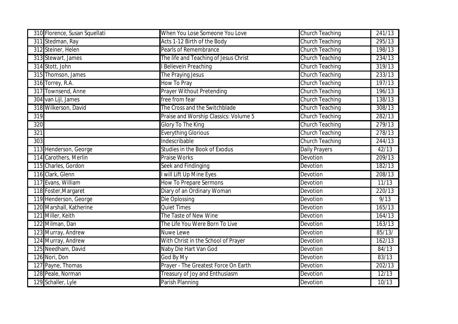| 310 Florence, Susan Squellati | When You Lose Someone You Love        | Church Teaching        | 241/13 |
|-------------------------------|---------------------------------------|------------------------|--------|
| 311 Stedman, Ray              | Acts 1-12 Birth of the Body           | <b>Church Teaching</b> | 295/13 |
| 312 Steiner, Helen            | <b>Pearls of Remembrance</b>          | Church Teaching        | 198/13 |
| 313 Stewart, James            | The life and Teaching of Jesus Christ | <b>Church Teaching</b> | 234/13 |
| 314 Stott, John               | <b>Believein Preaching</b>            | <b>Church Teaching</b> | 319/13 |
| 315 Thomson, James            | The Praying Jesus                     | <b>Church Teaching</b> | 233/13 |
| 316 Torrey, R.A.              | How To Pray                           | <b>Church Teaching</b> | 197/13 |
| 317 Townsend, Anne            | Prayer Without Pretending             | <b>Church Teaching</b> | 196/13 |
| 304 van Lijl, James           | free from fear                        | <b>Church Teaching</b> | 138/13 |
| 318 Wilkerson, David          | The Cross and the Switchblade         | <b>Church Teaching</b> | 308/13 |
| 319                           | Praise and Worship Classics: Volume 5 | <b>Church Teaching</b> | 282/13 |
| 320                           | <b>Glory To The King</b>              | <b>Church Teaching</b> | 279/13 |
| 321                           | <b>Everything Glorious</b>            | Church Teaching        | 278/13 |
| 303                           | Indescribable                         | <b>Church Teaching</b> | 244/13 |
| 113 Henderson, George         | <b>Studies in the Book of Exodus</b>  | <b>Daily Prayers</b>   | 42/13  |
| 114 Carothers, Merlin         | <b>Praise Works</b>                   | Devotion               | 209/13 |
| 115 Charles, Gordon           | Seek and Findinging                   | Devotion               | 182/13 |
| 116 Clark, Glenn              | will Lift Up Mine Eyes                | Devotion               | 208/13 |
| 117 Evans, William            | How To Prepare Sermons                | Devotion               | 11/13  |
| 118 Foster, Margaret          | Diary of an Ordinary Woman            | Devotion               | 220/13 |
| 119 Henderson, George         | Die Oplossing                         | Devotion               | 9/13   |
| 120 Marshall, Katherine       | <b>Quiet Times</b>                    | Devotion               | 165/13 |
| 121 Miller, Keith             | The Taste of New Wine                 | Devotion               | 164/13 |
| 122 Milman, Dan               | The Life You Were Born To Live        | Devotion               | 163/13 |
| 123 Murray, Andrew            | Nuwe Lewe                             | Devotion               | 85/13/ |
| 124 Murray, Andrew            | With Christ in the School of Prayer   | Devotion               | 162/13 |
| 125 Needham, David            | Naby Die Hart Van God                 | Devotion               | 84/13  |
| 126 Nori, Don                 | God By My                             | Devotion               | 83/13  |
| 127 Payne, Thomas             | Prayer - The Greatest Force On Earth  | Devotion               | 202/13 |
| 128 Peale, Norman             | Treasury of Joy and Enthusiasm        | Devotion               | 12/13  |
| 129 Schaller, Lyle            | Parish Planning                       | Devotion               | 10/13  |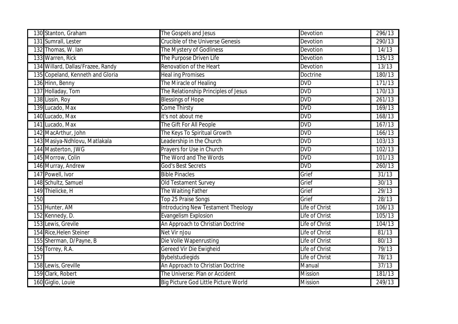| 130 Stanton, Graham               | The Gospels and Jesus                     | Devotion       | 296/13 |
|-----------------------------------|-------------------------------------------|----------------|--------|
| 131 Sumrall, Lester               | <b>Crucible of the Universe Genesis</b>   | Devotion       | 290/13 |
| 132 Thomas, W. lan                | The Mystery of Godliness                  | Devotion       | 14/13  |
| 133 Warren, Rick                  | The Purpose Driven Life                   | Devotion       | 135/13 |
| 134 Willard, Dallas/Frazee, Randy | Renovation of the Heart                   | Devotion       | 13/13  |
| 135 Copeland, Kenneth and Gloria  | <b>Heal ing Promises</b>                  | Doctrine       | 180/13 |
| 136 Hinn, Benny                   | The Miracle of Healing                    | <b>DVD</b>     | 171/13 |
| 137 Holladay, Tom                 | The Relationship Principles of Jesus      | <b>DVD</b>     | 170/13 |
| 138 Lissin, Roy                   | <b>Blessings of Hope</b>                  | <b>DVD</b>     | 261/13 |
| 139 Lucado, Max                   | Come Thirsty                              | <b>DVD</b>     | 169/13 |
| 140 Lucado, Max                   | it's not about me                         | <b>DVD</b>     | 168/13 |
| 141 Lucado, Max                   | The Gift For All People                   | <b>DVD</b>     | 167/13 |
| 142 MacArthur, John               | The Keys To Spiritual Growth              | <b>DVD</b>     | 166/13 |
| 143 Masiya-Ndhlovu, Matlakala     | Leadership in the Church                  | <b>DVD</b>     | 103/13 |
| 144 Masterton, JWG                | Prayers for Use in Church                 | <b>DVD</b>     | 102/13 |
| 145 Morrow, Colin                 | The Word and The Words                    | <b>DVD</b>     | 101/13 |
| 146 Murray, Andrew                | <b>God's Best Secrets</b>                 | <b>DVD</b>     | 260/13 |
| 147 Powell, Ivor                  | <b>Bible Pinacles</b>                     | Grief          | 31/13  |
| 148 Schultz, Samuel               | <b>Old Testament Survey</b>               | Grief          | 30/13  |
| 149 Thielicke, H                  | The Waiting Father                        | Grief          | 29/13  |
| 150                               | Top 25 Praise Songs                       | Grief          | 28/13  |
| 151 Hunter, AM                    | <b>Introducing New Testament Theology</b> | Life of Christ | 106/13 |
| 152 Kennedy, D.                   | <b>Evangelism Explosion</b>               | Life of Christ | 105/13 |
| 153 Lewis, Grevile                | An Approach to Christian Doctrine         | Life of Christ | 104/13 |
| 154 Rice, Helen Steiner           | Net Vir nJou                              | Life of Christ | 81/13  |
| 155 Sherman, D/Payne, B           | Die Volle Wapenrusting                    | Life of Christ | 80/13  |
| 156 Torrey, R.A.                  | Gereed Vir Die Ewigheid                   | Life of Christ | 79/13  |
| 157                               | <b>Bybelstudiegids</b>                    | Life of Christ | 78/13  |
| 158 Lewis, Greville               | An Approach to Christian Doctrine         | Manual         | 37/13  |
| 159 Clark, Robert                 | The Universe: Plan or Accident            | <b>Mission</b> | 181/13 |
| 160 Giglio, Louie                 | Big Picture God Little Picture World      | <b>Mission</b> | 249/13 |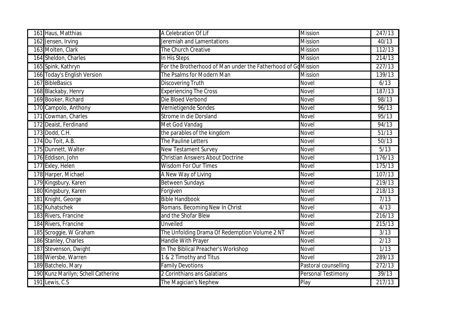| 161 Haus, Matthias                 | A Celebration Of Lif                                         | <b>Mission</b>            | 247/13 |
|------------------------------------|--------------------------------------------------------------|---------------------------|--------|
| 162 Jensen, Irving                 | Jeremiah and Lamentations                                    | <b>Mission</b>            | 40/13  |
| 163 Molten, Clark                  | The Church Creative                                          | <b>Mission</b>            | 112/13 |
| 164 Sheldon, Charles               | In His Steps                                                 | <b>Mission</b>            | 214/13 |
| 165 Spink, Kathryn                 | For the Brotherhood of Man under the Fatherhood of GoMission |                           | 227/13 |
| 166 Today's English Version        | The Psalms for Modern Man                                    | <b>Mission</b>            | 139/13 |
| 167 BibleBasics                    | <b>Discovering Truth</b>                                     | Novel                     | 6/13   |
| 168 Blackaby, Henry                | <b>Experiencing The Cross</b>                                | Novel                     | 187/13 |
| 169 Booker, Richard                | Die Bloed Verbond                                            | Novel                     | 98/13  |
| 170 Campolo, Anthony               | Vernietigende Sondes                                         | <b>Novel</b>              | 96/13  |
| 171 Cowman, Charles                | Strome in die Dorsland                                       | <b>Novel</b>              | 95/13  |
| 172 Deaist, Ferdinand              | Met God Vandag                                               | <b>Novel</b>              | 94/13  |
| 173 Dodd, C.H.                     | the parables of the kingdom                                  | Novel                     | 51/13  |
| 174 Du Toit, A.B.                  | The Pauline Letters                                          | <b>Novel</b>              | 50/13  |
| 175 Dunnett, Walter                | <b>New Testament Survey</b>                                  | <b>Novel</b>              | 5/13   |
| 176 Eddison, John                  | <b>Christian Answers About Doctrine</b>                      | Novel                     | 176/13 |
| 177 Exley, Helen                   | <b>Wisdom For Our Times</b>                                  | Novel                     | 175/13 |
| 178 Harper, Michael                | A New Way of Living                                          | Novel                     | 107/13 |
| 179 Kingsbury, Karen               | <b>Between Sundays</b>                                       | Novel                     | 219/13 |
| 180 Kingsbury, Karen               | Forgiven                                                     | <b>Novel</b>              | 218/13 |
| 181 Knight, George                 | <b>Bible Handbook</b>                                        | Novel                     | 7/13   |
| 182 Kuhatschek                     | Romans. Becoming New In Christ                               | <b>Novel</b>              | 4/13   |
| 183 Rivers, Francine               | and the Shofar Blew                                          | <b>Novel</b>              | 216/13 |
| 184 Rivers, Francine               | Unveiled                                                     | <b>Novel</b>              | 215/13 |
| 185 Scroggie, W Graham             | The Unfolding Drama Of Redemption Volume 2 NT                | <b>Novel</b>              | 3/13   |
| 186 Stanley, Charles               | Handle With Prayer                                           | Novel                     | 2/13   |
| 187 Stevenson, Dwight              | In The Biblical Preacher's Workshop                          | <b>Novel</b>              | 1/13   |
| 188 Wiersbe, Warren                | & 2 Timothy and Titus                                        | Novel                     | 289/13 |
| 189 Batchelo, Mary                 | <b>Family Devotions</b>                                      | Pastoral counselling      | 272/13 |
| 190 Kunz Marilyn; Schell Catherine | 2 Corinthians ans Galatians                                  | <b>Personal Testimony</b> | 39/13  |
| 191 Lewis, C.S.                    | The Magician's Nephew                                        | Play                      | 217/13 |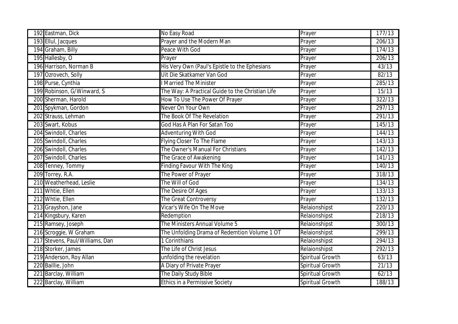| 192 Eastman, Dick               | No Easy Road                                     | Prayer           | 177/13              |
|---------------------------------|--------------------------------------------------|------------------|---------------------|
| 193 Ellul, Jacques              | Prayer and the Modern Man                        | Prayer           | 206/13              |
| 194 Graham, Billy               | Peace With God                                   | Prayer           | 174/13              |
| 195 Hallesby, O                 | Prayer                                           | Prayer           | 206/13              |
| 196 Harrison, Norman B          | His Very Own (Paul's Epistle to the Ephesians    | Prayer           | 43/13               |
| 197 Ozrovech, Solly             | Uit Die Skatkamer Van God                        | Prayer           | 82/13               |
| 198 Purse, Cynthia              | <b>Married The Minister</b>                      | Prayer           | 285/13              |
| 199 Robinson, G/Winward, S      | The Way: A Practical Guide to the Christian Life | Prayer           | 15/13               |
| 200 Sherman, Harold             | How To Use The Power Of Prayer                   | Prayer           | 322/13              |
| 201 Spykman, Gordon             | Never On Your Own                                | Prayer           | 297/13              |
| 202 Strauss, Lehman             | The Book Of The Revelation                       | Prayer           | 291/13              |
| 203 Swart, Kobus                | God Has A Plan For Satan Too                     | Prayer           | 145/13              |
| 204 Swindoll, Charles           | <b>Adventuring With God</b>                      | Prayer           | 144/13              |
| 205 Swindoll, Charles           | Flying Closer To The Flame                       | Prayer           | 143/13              |
| 206 Swindoll, Charles           | The Owner's Manual For Christians                | Prayer           | 142/13              |
| 207 Swindoll, Charles           | The Grace of Awakening                           | Prayer           | 141/13              |
| 208 Tenney, Tommy               | <b>Finding Favour With The King</b>              | Prayer           | 140/13              |
| 209 Torrey, R.A.                | The Power of Prayer                              | Prayer           | 318/13              |
| 210 Weatherhead, Leslie         | The Will of God                                  | Prayer           | 134/13              |
| 211 Whtie, Ellen                | The Desire Of Ages                               | Prayer           | 133/13              |
| 212 Whtie, Ellen                | The Great Controversy                            | Prayer           | 132/13              |
| 213 Grayshon, Jane              | Vicar's Wife On The Move                         | Relaionshipst    | $\overline{220}/13$ |
| 214 Kingsbury, Karen            | Redemption                                       | Relaionshipst    | 218/13              |
| 215 Ramsey, Joseph              | The Ministers Annual Volume 5                    | Relaionshipst    | 300/13              |
| 216 Scroggie, W Graham          | The Unfolding Drama of Redemtion Volume 1 OT     | Relaionshipst    | $\frac{1}{299}$ /13 |
| 217 Stevens, Paul/Williams, Dan | 1 Corinthians                                    | Relaionshipst    | 294/13              |
| 218 Storker, James              | The Life of Christ Jesus                         | Relaionshipst    | 292/13              |
| 219 Anderson, Roy Allan         | unfolding the revelation                         | Spiritual Growth | 63/13               |
| 220 Baillie, John               | A Diary of Private Prayer                        | Spiritual Growth | 21/13               |
| 221 Barclay, William            | The Daily Study Bible                            | Spiritual Growth | 62/13               |
| 222 Barclay, William            | <b>Ethics in a Permissive Society</b>            | Spiritual Growth | 188/13              |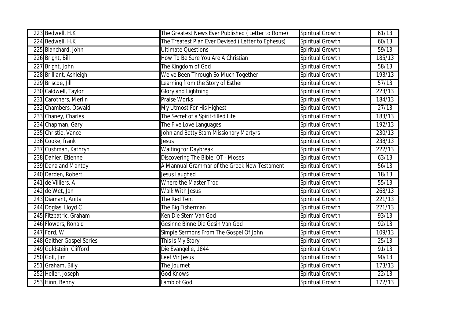| 223 Bedwell, H.K          | The Greatest News Ever Published (Letter to Rome)  | Spiritual Growth | 61/13  |
|---------------------------|----------------------------------------------------|------------------|--------|
| 224 Bedwell, H.K.         | The Treatest Plan Ever Devised (Letter to Ephesus) | Spiritual Growth | 60/13  |
| 225 Blanchard, John       | <b>Ultimate Questions</b>                          | Spiritual Growth | 59/13  |
| 226 Bright, Bill          | How To Be Sure You Are A Christian                 | Spiritual Growth | 185/13 |
| 227 Bright, John          | The Kingdom of God                                 | Spiritual Growth | 58/13  |
| 228 Brilliant, Ashleigh   | We've Been Through So Much Together                | Spiritual Growth | 193/13 |
| 229 Briscoe, Jill         | earning from the Story of Esther                   | Spiritual Growth | 57/13  |
| 230 Caldwell, Taylor      | Glory and Lightning                                | Spiritual Growth | 223/13 |
| 231 Carothers, Merlin     | <b>Praise Works</b>                                | Spiritual Growth | 184/13 |
| 232 Chambers, Oswald      | My Utmost For His Highest                          | Spiritual Growth | 27/13  |
| 233 Chaney, Charles       | The Secret of a Spirit-filled Life                 | Spiritual Growth | 183/13 |
| 234 Chapman, Gary         | The Five Love Languages                            | Spiritual Growth | 192/13 |
| 235 Christie, Vance       | John and Betty Stam Missionary Martyrs             | Spiritual Growth | 230/13 |
| 236 Cooke, frank          | Jesus                                              | Spiritual Growth | 238/13 |
| 237 Cushman, Kathryn      | <b>Waiting for Daybreak</b>                        | Spiritual Growth | 222/13 |
| 238 Dahler, Etienne       | Discovering The Bible: OT - Moses                  | Spiritual Growth | 63/13  |
| 239 Dana and Mantey       | A Mannual Grammar of the Greek New Testament       | Spiritual Growth | 56/13  |
| 240 Darden, Robert        | Jesus Laughed                                      | Spiritual Growth | 18/13  |
| 241 de Villiers, A        | Where the Master Trod                              | Spiritual Growth | 55/13  |
| 242 de Wet, Jan           | <b>Walk With Jesus</b>                             | Spiritual Growth | 268/13 |
| 243 Diamant, Anita        | The Red Tent                                       | Spiritual Growth | 221/13 |
| 244 Doglas, Lloyd C       | The Big Fisherman                                  | Spiritual Growth | 221/13 |
| 245 Fitzpatric, Graham    | Ken Die Stem Van God                               | Spiritual Growth | 93/13  |
| 246 Flowers, Ronald       | Gesinne Binne Die Gesin Van God                    | Spiritual Growth | 92/13  |
| 247 Ford, W               | Simple Sermons From The Gospel Of John             | Spiritual Growth | 109/13 |
| 248 Gaither Gospel Series | This Is My Story                                   | Spiritual Growth | 25/13  |
| 249 Goldstein, Clifford   | Die Evangelie, 1844                                | Spiritual Growth | 91/13  |
| 250 Goll, Jim             | eef Vir Jesus                                      | Spiritual Growth | 90/13  |
| 251 Graham, Billy         | The Journet                                        | Spiritual Growth | 173/13 |
| 252 Heller, Joseph        | <b>God Knows</b>                                   | Spiritual Growth | 22/13  |
| 253 Hinn, Benny           | Lamb of God                                        | Spiritual Growth | 172/13 |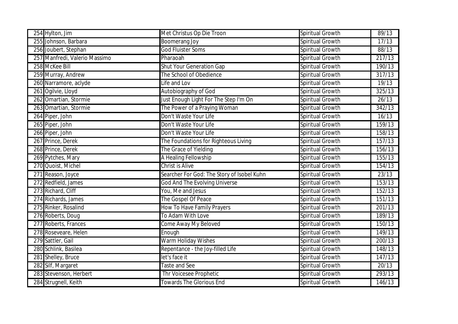| 254 Hylton, Jim               | Met Christus Op Die Troon                  | Spiritual Growth | 89/13  |
|-------------------------------|--------------------------------------------|------------------|--------|
| 255 Johnson, Barbara          | <b>Boomerang Joy</b>                       | Spiritual Growth | 17/13  |
| 256 Joubert, Stephan          | <b>God Fluister Soms</b>                   | Spiritual Growth | 88/13  |
| 257 Manfredi, Valerio Massimo | Pharaoah                                   | Spiritual Growth | 217/13 |
| 258 McKee Bill                | <b>Shut Your Generation Gap</b>            | Spiritual Growth | 190/13 |
| 259 Murray, Andrew            | The School of Obedience                    | Spiritual Growth | 317/13 |
| 260 Narramore, aclyde         | Life and Lov                               | Spiritual Growth | 19/13  |
| 261 Ogilvie, Lloyd            | <b>Autobiography of God</b>                | Spiritual Growth | 325/13 |
| 262 Omartian, Stormie         | Just Enough Light For The Step I'm On      | Spiritual Growth | 26/13  |
| 263 Omartian, Stormie         | The Power of a Praying Woman               | Spiritual Growth | 342/13 |
| 264 Piper, John               | Don't Waste Your Life                      | Spiritual Growth | 16/13  |
| 265 Piper, John               | Don't Waste Your Life                      | Spiritual Growth | 159/13 |
| 266 Piper, John               | Don't Waste Your Life                      | Spiritual Growth | 158/13 |
| 267 Prince, Derek             | The Foundations for Righteous Living       | Spiritual Growth | 157/13 |
| 268 Prince, Derek             | The Grace of Yielding                      | Spiritual Growth | 156/13 |
| 269 Pytches, Mary             | A Healing Fellowship                       | Spiritual Growth | 155/13 |
| 270 Quoist, Michel            | Christ is Alive                            | Spiritual Growth | 154/13 |
| 271 Reason, Joyce             | Searcher For God: The Story of Isobel Kuhn | Spiritual Growth | 23/13  |
| 272 Redfield, James           | <b>God And The Evolving Universe</b>       | Spiritual Growth | 153/13 |
| 273 Richard, Cliff            | You, Me and Jesus                          | Spiritual Growth | 152/13 |
| 274 Richards, James           | The Gospel Of Peace                        | Spiritual Growth | 151/13 |
| 275 Rinker, Rosalind          | How To Have Family Prayers                 | Spiritual Growth | 201/13 |
| 276 Roberts, Doug             | To Adam With Love                          | Spiritual Growth | 189/13 |
| 277 Roberts, Frances          | Come Away My Beloved                       | Spiritual Growth | 150/13 |
| 278 Roseveare, Helen          | Enough                                     | Spiritual Growth | 149/13 |
| 279 Sattler, Gail             | Warm Holiday Wishes                        | Spiritual Growth | 200/13 |
| 280 Schlink, Basilea          | Repentance - the Joy-filled Life           | Spiritual Growth | 148/13 |
| 281 Shelley, Bruce            | let's face it                              | Spiritual Growth | 147/13 |
| 282 Silf, Margaret            | Taste and See                              | Spiritual Growth | 20/13  |
| 283 Stevenson, Herbert        | Thr Voicesee Prophetic                     | Spiritual Growth | 293/13 |
| 284 Strugnell, Keith          | <b>Towards The Glorious End</b>            | Spiritual Growth | 146/13 |